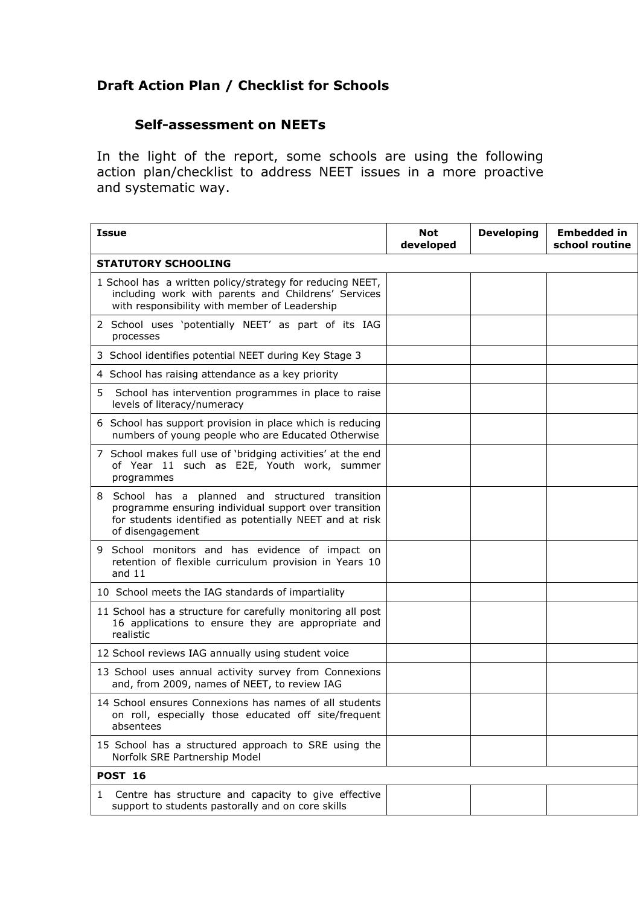## Draft Action Plan / Checklist for Schools

## Self-assessment on NEETs

In the light of the report, some schools are using the following action plan/checklist to address NEET issues in a more proactive and systematic way.

| Issue                                                                                                                                                                                    | <b>Not</b><br>developed | <b>Developing</b> | <b>Embedded in</b><br>school routine |  |  |
|------------------------------------------------------------------------------------------------------------------------------------------------------------------------------------------|-------------------------|-------------------|--------------------------------------|--|--|
| <b>STATUTORY SCHOOLING</b>                                                                                                                                                               |                         |                   |                                      |  |  |
| 1 School has a written policy/strategy for reducing NEET,<br>including work with parents and Childrens' Services<br>with responsibility with member of Leadership                        |                         |                   |                                      |  |  |
| 2 School uses 'potentially NEET' as part of its IAG<br>processes                                                                                                                         |                         |                   |                                      |  |  |
| 3 School identifies potential NEET during Key Stage 3                                                                                                                                    |                         |                   |                                      |  |  |
| 4 School has raising attendance as a key priority                                                                                                                                        |                         |                   |                                      |  |  |
| 5<br>School has intervention programmes in place to raise<br>levels of literacy/numeracy                                                                                                 |                         |                   |                                      |  |  |
| 6 School has support provision in place which is reducing<br>numbers of young people who are Educated Otherwise                                                                          |                         |                   |                                      |  |  |
| 7 School makes full use of 'bridging activities' at the end<br>of Year 11 such as E2E, Youth work, summer<br>programmes                                                                  |                         |                   |                                      |  |  |
| 8 School has a planned and structured transition<br>programme ensuring individual support over transition<br>for students identified as potentially NEET and at risk<br>of disengagement |                         |                   |                                      |  |  |
| School monitors and has evidence of impact on<br>9<br>retention of flexible curriculum provision in Years 10<br>and $11$                                                                 |                         |                   |                                      |  |  |
| 10 School meets the IAG standards of impartiality                                                                                                                                        |                         |                   |                                      |  |  |
| 11 School has a structure for carefully monitoring all post<br>16 applications to ensure they are appropriate and<br>realistic                                                           |                         |                   |                                      |  |  |
| 12 School reviews IAG annually using student voice                                                                                                                                       |                         |                   |                                      |  |  |
| 13 School uses annual activity survey from Connexions<br>and, from 2009, names of NEET, to review IAG                                                                                    |                         |                   |                                      |  |  |
| 14 School ensures Connexions has names of all students<br>on roll, especially those educated off site/frequent<br>absentees                                                              |                         |                   |                                      |  |  |
| 15 School has a structured approach to SRE using the<br>Norfolk SRE Partnership Model                                                                                                    |                         |                   |                                      |  |  |
| <b>POST 16</b>                                                                                                                                                                           |                         |                   |                                      |  |  |
| Centre has structure and capacity to give effective<br>1<br>support to students pastorally and on core skills                                                                            |                         |                   |                                      |  |  |